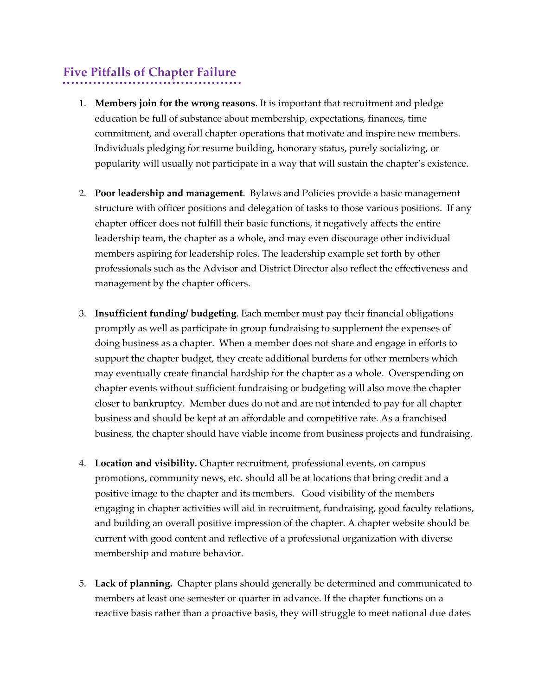## **Five Pitfalls of Chapter Failure**

- 1. **Members join for the wrong reasons**. It is important that recruitment and pledge education be full of substance about membership, expectations, finances, time commitment, and overall chapter operations that motivate and inspire new members. Individuals pledging for resume building, honorary status, purely socializing, or popularity will usually not participate in a way that will sustain the chapter's existence.
- 2. **Poor leadership and management**. Bylaws and Policies provide a basic management structure with officer positions and delegation of tasks to those various positions. If any chapter officer does not fulfill their basic functions, it negatively affects the entire leadership team, the chapter as a whole, and may even discourage other individual members aspiring for leadership roles. The leadership example set forth by other professionals such as the Advisor and District Director also reflect the effectiveness and management by the chapter officers.
- 3. **Insufficient funding/ budgeting**. Each member must pay their financial obligations promptly as well as participate in group fundraising to supplement the expenses of doing business as a chapter. When a member does not share and engage in efforts to support the chapter budget, they create additional burdens for other members which may eventually create financial hardship for the chapter as a whole. Overspending on chapter events without sufficient fundraising or budgeting will also move the chapter closer to bankruptcy. Member dues do not and are not intended to pay for all chapter business and should be kept at an affordable and competitive rate. As a franchised business, the chapter should have viable income from business projects and fundraising.
- 4. **Location and visibility.** Chapter recruitment, professional events, on campus promotions, community news, etc. should all be at locations that bring credit and a positive image to the chapter and its members. Good visibility of the members engaging in chapter activities will aid in recruitment, fundraising, good faculty relations, and building an overall positive impression of the chapter. A chapter website should be current with good content and reflective of a professional organization with diverse membership and mature behavior.
- 5. **Lack of planning.** Chapter plans should generally be determined and communicated to members at least one semester or quarter in advance. If the chapter functions on a reactive basis rather than a proactive basis, they will struggle to meet national due dates